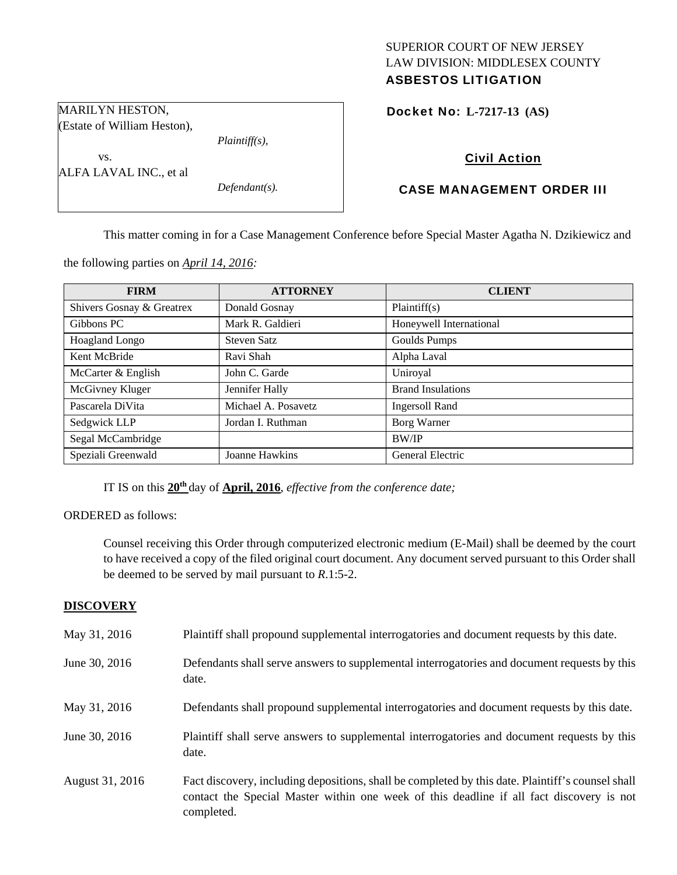# SUPERIOR COURT OF NEW JERSEY LAW DIVISION: MIDDLESEX COUNTY ASBESTOS LITIGATION

Docket No: **L-7217-13 (AS)** 

# Civil Action

# CASE MANAGEMENT ORDER III

This matter coming in for a Case Management Conference before Special Master Agatha N. Dzikiewicz and

the following parties on *April 14, 2016:* 

| <b>FIRM</b>               | <b>ATTORNEY</b>     | <b>CLIENT</b>            |
|---------------------------|---------------------|--------------------------|
| Shivers Gosnay & Greatrex | Donald Gosnay       | Plaintiff(s)             |
| Gibbons PC                | Mark R. Galdieri    | Honeywell International  |
| <b>Hoagland Longo</b>     | Steven Satz         | Goulds Pumps             |
| Kent McBride              | Ravi Shah           | Alpha Laval              |
| McCarter & English        | John C. Garde       | Uniroyal                 |
| McGivney Kluger           | Jennifer Hally      | <b>Brand Insulations</b> |
| Pascarela DiVita          | Michael A. Posavetz | Ingersoll Rand           |
| Sedgwick LLP              | Jordan I. Ruthman   | Borg Warner              |
| Segal McCambridge         |                     | <b>BW/IP</b>             |
| Speziali Greenwald        | Joanne Hawkins      | <b>General Electric</b>  |

IT IS on this **20th** day of **April, 2016**, *effective from the conference date;*

ORDERED as follows:

Counsel receiving this Order through computerized electronic medium (E-Mail) shall be deemed by the court to have received a copy of the filed original court document. Any document served pursuant to this Order shall be deemed to be served by mail pursuant to *R*.1:5-2.

### **DISCOVERY**

| May 31, 2016    | Plaintiff shall propound supplemental interrogatories and document requests by this date.                                                                                                                   |
|-----------------|-------------------------------------------------------------------------------------------------------------------------------------------------------------------------------------------------------------|
| June 30, 2016   | Defendants shall serve answers to supplemental interrogatories and document requests by this<br>date.                                                                                                       |
| May 31, 2016    | Defendants shall propound supplemental interrogatories and document requests by this date.                                                                                                                  |
| June 30, 2016   | Plaintiff shall serve answers to supplemental interrogatories and document requests by this<br>date.                                                                                                        |
| August 31, 2016 | Fact discovery, including depositions, shall be completed by this date. Plaintiff's counsel shall<br>contact the Special Master within one week of this deadline if all fact discovery is not<br>completed. |

MARILYN HESTON, (Estate of William Heston),

*Plaintiff(s),* 

*Defendant(s).* 

 vs. ALFA LAVAL INC., et al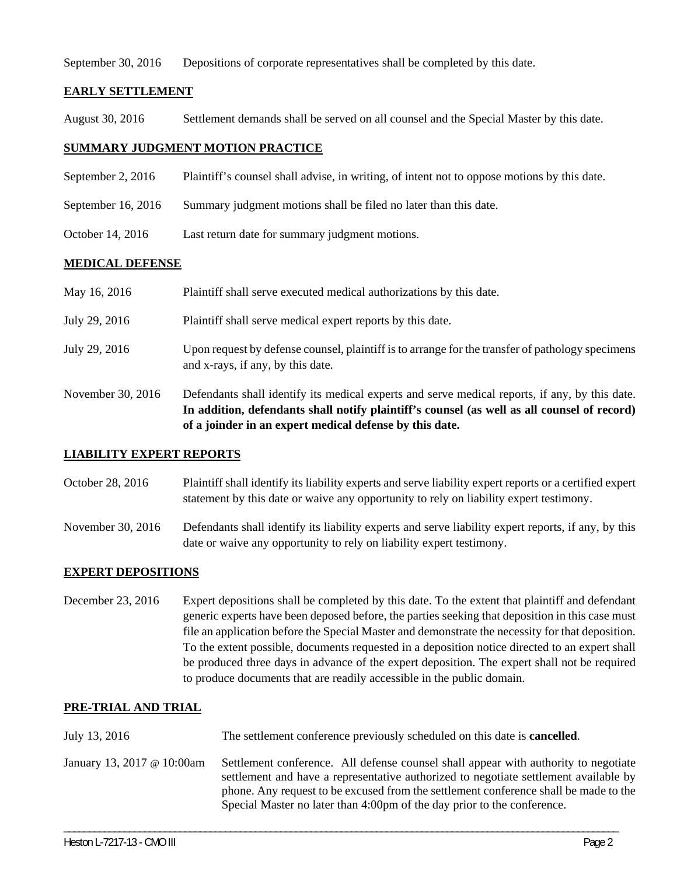September 30, 2016 Depositions of corporate representatives shall be completed by this date.

### **EARLY SETTLEMENT**

August 30, 2016 Settlement demands shall be served on all counsel and the Special Master by this date.

### **SUMMARY JUDGMENT MOTION PRACTICE**

- September 2, 2016 Plaintiff's counsel shall advise, in writing, of intent not to oppose motions by this date.
- September 16, 2016 Summary judgment motions shall be filed no later than this date.
- October 14, 2016 Last return date for summary judgment motions.

### **MEDICAL DEFENSE**

|                   | In addition, defendants shall notify plaintiff's counsel (as well as all counsel of record)<br>of a joinder in an expert medical defense by this date. |
|-------------------|--------------------------------------------------------------------------------------------------------------------------------------------------------|
| November 30, 2016 | Defendants shall identify its medical experts and serve medical reports, if any, by this date.                                                         |
| July 29, 2016     | Upon request by defense counsel, plaintiff is to arrange for the transfer of pathology specimens<br>and x-rays, if any, by this date.                  |
| July 29, 2016     | Plaintiff shall serve medical expert reports by this date.                                                                                             |
| May 16, 2016      | Plaintiff shall serve executed medical authorizations by this date.                                                                                    |

#### **LIABILITY EXPERT REPORTS**

October 28, 2016 Plaintiff shall identify its liability experts and serve liability expert reports or a certified expert statement by this date or waive any opportunity to rely on liability expert testimony.

November 30, 2016 Defendants shall identify its liability experts and serve liability expert reports, if any, by this date or waive any opportunity to rely on liability expert testimony.

#### **EXPERT DEPOSITIONS**

December 23, 2016 Expert depositions shall be completed by this date. To the extent that plaintiff and defendant generic experts have been deposed before, the parties seeking that deposition in this case must file an application before the Special Master and demonstrate the necessity for that deposition. To the extent possible, documents requested in a deposition notice directed to an expert shall be produced three days in advance of the expert deposition. The expert shall not be required to produce documents that are readily accessible in the public domain.

#### **PRE-TRIAL AND TRIAL**

July 13, 2016 The settlement conference previously scheduled on this date is **cancelled**. January 13, 2017 @ 10:00am Settlement conference. All defense counsel shall appear with authority to negotiate settlement and have a representative authorized to negotiate settlement available by phone. Any request to be excused from the settlement conference shall be made to the Special Master no later than 4:00pm of the day prior to the conference.

\_\_\_\_\_\_\_\_\_\_\_\_\_\_\_\_\_\_\_\_\_\_\_\_\_\_\_\_\_\_\_\_\_\_\_\_\_\_\_\_\_\_\_\_\_\_\_\_\_\_\_\_\_\_\_\_\_\_\_\_\_\_\_\_\_\_\_\_\_\_\_\_\_\_\_\_\_\_\_\_\_\_\_\_\_\_\_\_\_\_\_\_\_\_\_\_\_\_\_\_\_\_\_\_\_\_\_\_\_\_